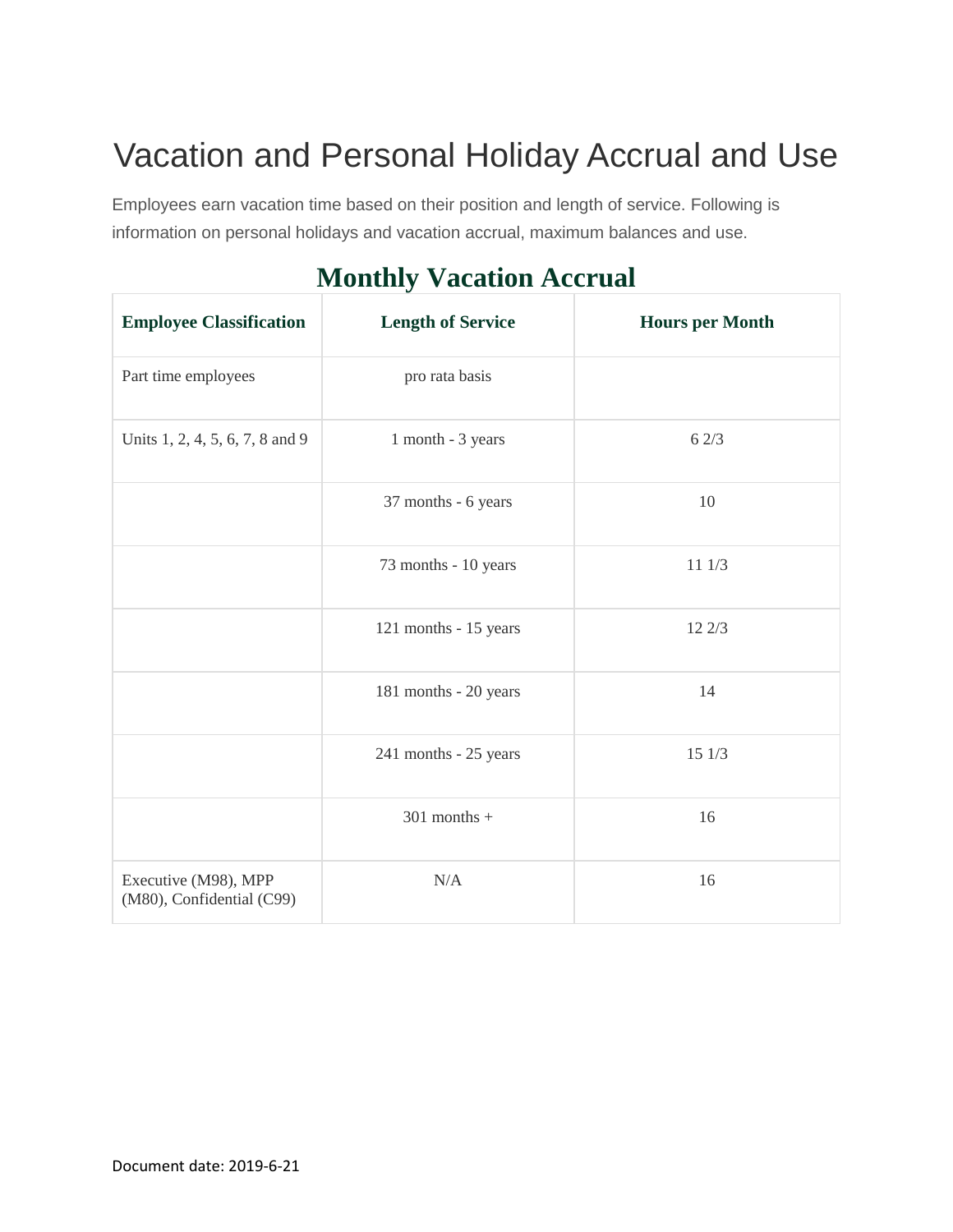## Vacation and Personal Holiday Accrual and Use

Employees earn vacation time based on their position and length of service. Following is information on personal holidays and vacation accrual, maximum balances and use.

## **Monthly Vacation Accrual**

| <b>Employee Classification</b>                    | <b>Length of Service</b> | <b>Hours per Month</b> |
|---------------------------------------------------|--------------------------|------------------------|
| Part time employees                               | pro rata basis           |                        |
| Units 1, 2, 4, 5, 6, 7, 8 and 9                   | 1 month - 3 years        | 62/3                   |
|                                                   | 37 months - 6 years      | 10                     |
|                                                   | 73 months - 10 years     | 11 1/3                 |
|                                                   | 121 months - 15 years    | 12 2/3                 |
|                                                   | 181 months - 20 years    | 14                     |
|                                                   | 241 months - 25 years    | 15 1/3                 |
|                                                   | $301$ months +           | 16                     |
| Executive (M98), MPP<br>(M80), Confidential (C99) | N/A                      | 16                     |